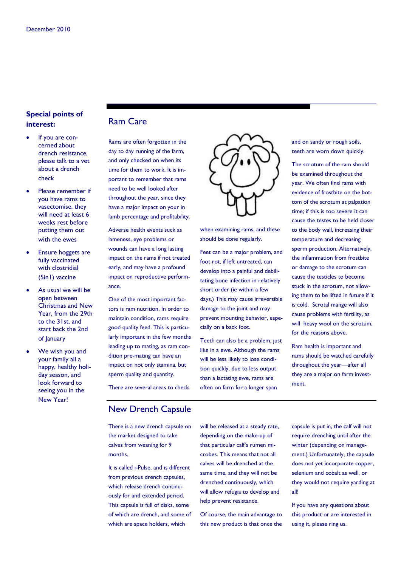### **Special points of interest:**

- If you are concerned about drench resistance, please talk to a vet about a drench check
- Please remember if you have rams to vasectomise, they will need at least 6 weeks rest before putting them out with the ewes
- Ensure hoggets are fully vaccinated with clostridial (5in1) vaccine
- As usual we will be open between Christmas and New Year, from the 29th to the 31st, and start back the 2nd of January
- We wish you and your family all a happy, healthy holiday season, and look forward to seeing you in the New Year!

#### Ram Care

Rams are often forgotten in the day to day running of the farm, and only checked on when its time for them to work. It is important to remember that rams need to be well looked after throughout the year, since they have a major impact on your in lamb percentage and profitability.

Adverse health events suck as lameness, eye problems or wounds can have a long lasting impact on the rams if not treated early, and may have a profound impact on reproductive performance.

One of the most important factors is ram nutrition. In order to maintain condition, rams require good quality feed. This is particularly important in the few months leading up to mating, as ram condition pre-mating can have an impact on not only stamina, but sperm quality and quantity.



when examining rams, and these should be done regularly.

Feet can be a major problem, and foot rot, if left untreated, can develop into a painful and debilitating bone infection in relatively short order (ie within a few days.) This may cause irreversible damage to the joint and may prevent mounting behavior, especially on a back foot.

Teeth can also be a problem, just like in a ewe. Although the rams will be less likely to lose condition quickly, due to less output than a lactating ewe, rams are often on farm for a longer span

and on sandy or rough soils, teeth are worn down quickly.

The scrotum of the ram should be examined throughout the year. We often find rams with evidence of frostbite on the bottom of the scrotum at palpation time; if this is too severe it can cause the testes to be held closer to the body wall, increasing their temperature and decreasing sperm production. Alternatively, the inflammation from frostbite or damage to the scrotum can cause the testicles to become stuck in the scrotum, not allowing them to be lifted in future if it is cold. Scrotal mange will also cause problems with fertility, as will heavy wool on the scrotum, for the reasons above.

Ram health is important and rams should be watched carefully throughout the year—after all they are a major on farm investment.

There are several areas to check

## New Drench Capsule

There is a new drench capsule on the market designed to take calves from weaning for 9 months.

It is called i-Pulse, and is different from previous drench capsules, which release drench continuously for and extended period. This capsule is full of disks, some of which are drench, and some of which are space holders, which

will be released at a steady rate, depending on the make-up of that particular calf's rumen microbes. This means that not all calves will be drenched at the same time, and they will not be drenched continuously, which will allow refugia to develop and help prevent resistance.

Of course, the main advantage to this new product is that once the

capsule is put in, the calf will not require drenching until after the winter (depending on management.) Unfortunately, the capsule does not yet incorporate copper, selenium and cobalt as well, or they would not require yarding at all!

If you have any questions about this product or are interested in using it, please ring us.